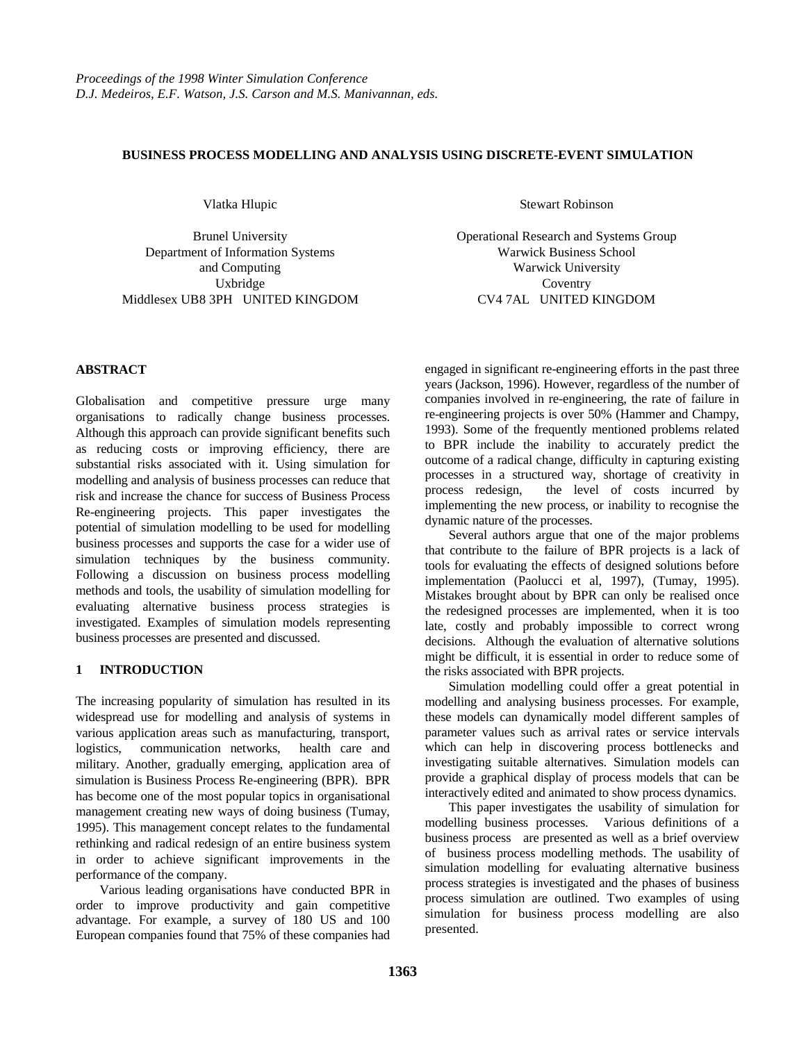### **BUSINESS PROCESS MODELLING AND ANALYSIS USING DISCRETE-EVENT SIMULATION**

Vlatka Hlupic

Brunel University Department of Information Systems and Computing Uxbridge Middlesex UB8 3PH UNITED KINGDOM

#### **ABSTRACT**

Globalisation and competitive pressure urge many organisations to radically change business processes. Although this approach can provide significant benefits such as reducing costs or improving efficiency, there are substantial risks associated with it. Using simulation for modelling and analysis of business processes can reduce that risk and increase the chance for success of Business Process Re-engineering projects. This paper investigates the potential of simulation modelling to be used for modelling business processes and supports the case for a wider use of simulation techniques by the business community. Following a discussion on business process modelling methods and tools, the usability of simulation modelling for evaluating alternative business process strategies is investigated. Examples of simulation models representing business processes are presented and discussed.

## **1 INTRODUCTION**

The increasing popularity of simulation has resulted in its widespread use for modelling and analysis of systems in various application areas such as manufacturing, transport, logistics, communication networks, health care and military. Another, gradually emerging, application area of simulation is Business Process Re-engineering (BPR). BPR has become one of the most popular topics in organisational management creating new ways of doing business (Tumay, 1995). This management concept relates to the fundamental rethinking and radical redesign of an entire business system in order to achieve significant improvements in the performance of the company.

Various leading organisations have conducted BPR in order to improve productivity and gain competitive advantage. For example, a survey of 180 US and 100 European companies found that 75% of these companies had Stewart Robinson

Operational Research and Systems Group Warwick Business School Warwick University **Coventry** CV4 7AL UNITED KINGDOM

engaged in significant re-engineering efforts in the past three years (Jackson, 1996). However, regardless of the number of companies involved in re-engineering, the rate of failure in re-engineering projects is over 50% (Hammer and Champy, 1993). Some of the frequently mentioned problems related to BPR include the inability to accurately predict the outcome of a radical change, difficulty in capturing existing processes in a structured way, shortage of creativity in process redesign, the level of costs incurred by implementing the new process, or inability to recognise the dynamic nature of the processes.

Several authors argue that one of the major problems that contribute to the failure of BPR projects is a lack of tools for evaluating the effects of designed solutions before implementation (Paolucci et al, 1997), (Tumay, 1995). Mistakes brought about by BPR can only be realised once the redesigned processes are implemented, when it is too late, costly and probably impossible to correct wrong decisions. Although the evaluation of alternative solutions might be difficult, it is essential in order to reduce some of the risks associated with BPR projects.

Simulation modelling could offer a great potential in modelling and analysing business processes. For example, these models can dynamically model different samples of parameter values such as arrival rates or service intervals which can help in discovering process bottlenecks and investigating suitable alternatives. Simulation models can provide a graphical display of process models that can be interactively edited and animated to show process dynamics.

This paper investigates the usability of simulation for modelling business processes. Various definitions of a business process are presented as well as a brief overview of business process modelling methods. The usability of simulation modelling for evaluating alternative business process strategies is investigated and the phases of business process simulation are outlined. Two examples of using simulation for business process modelling are also presented.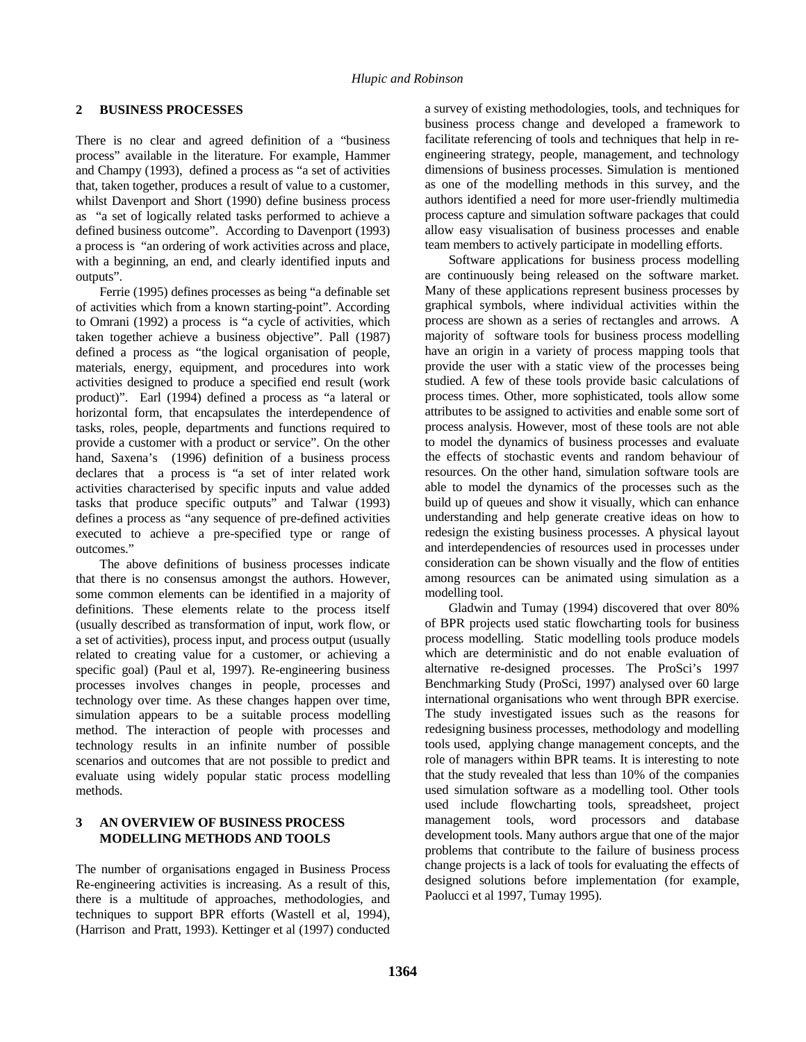#### **2 BUSINESS PROCESSES**

There is no clear and agreed definition of a "business process" available in the literature. For example, Hammer and Champy (1993), defined a process as "a set of activities that, taken together, produces a result of value to a customer, whilst Davenport and Short (1990) define business process as "a set of logically related tasks performed to achieve a defined business outcome". According to Davenport (1993) a process is "an ordering of work activities across and place, with a beginning, an end, and clearly identified inputs and outputs".

Ferrie (1995) defines processes as being "a definable set of activities which from a known starting-point". According to Omrani (1992) a process is "a cycle of activities, which taken together achieve a business objective". Pall (1987) defined a process as "the logical organisation of people, materials, energy, equipment, and procedures into work activities designed to produce a specified end result (work product)". Earl (1994) defined a process as "a lateral or horizontal form, that encapsulates the interdependence of tasks, roles, people, departments and functions required to provide a customer with a product or service". On the other hand, Saxena's (1996) definition of a business process declares that a process is "a set of inter related work activities characterised by specific inputs and value added tasks that produce specific outputs" and Talwar (1993) defines a process as "any sequence of pre-defined activities executed to achieve a pre-specified type or range of outcomes."

The above definitions of business processes indicate that there is no consensus amongst the authors. However, some common elements can be identified in a majority of definitions. These elements relate to the process itself (usually described as transformation of input, work flow, or a set of activities), process input, and process output (usually related to creating value for a customer, or achieving a specific goal) (Paul et al, 1997). Re-engineering business processes involves changes in people, processes and technology over time. As these changes happen over time, simulation appears to be a suitable process modelling method. The interaction of people with processes and technology results in an infinite number of possible scenarios and outcomes that are not possible to predict and evaluate using widely popular static process modelling methods.

### **3 AN OVERVIEW OF BUSINESS PROCESS MODELLING METHODS AND TOOLS**

The number of organisations engaged in Business Process Re-engineering activities is increasing. As a result of this, there is a multitude of approaches, methodologies, and techniques to support BPR efforts (Wastell et al, 1994), (Harrison and Pratt, 1993). Kettinger et al (1997) conducted a survey of existing methodologies, tools, and techniques for business process change and developed a framework to facilitate referencing of tools and techniques that help in reengineering strategy, people, management, and technology dimensions of business processes. Simulation is mentioned as one of the modelling methods in this survey, and the authors identified a need for more user-friendly multimedia process capture and simulation software packages that could allow easy visualisation of business processes and enable team members to actively participate in modelling efforts.

Software applications for business process modelling are continuously being released on the software market. Many of these applications represent business processes by graphical symbols, where individual activities within the process are shown as a series of rectangles and arrows. A majority of software tools for business process modelling have an origin in a variety of process mapping tools that provide the user with a static view of the processes being studied. A few of these tools provide basic calculations of process times. Other, more sophisticated, tools allow some attributes to be assigned to activities and enable some sort of process analysis. However, most of these tools are not able to model the dynamics of business processes and evaluate the effects of stochastic events and random behaviour of resources. On the other hand, simulation software tools are able to model the dynamics of the processes such as the build up of queues and show it visually, which can enhance understanding and help generate creative ideas on how to redesign the existing business processes. A physical layout and interdependencies of resources used in processes under consideration can be shown visually and the flow of entities among resources can be animated using simulation as a modelling tool.

Gladwin and Tumay (1994) discovered that over 80% of BPR projects used static flowcharting tools for business process modelling. Static modelling tools produce models which are deterministic and do not enable evaluation of alternative re-designed processes. The ProSci's 1997 Benchmarking Study (ProSci, 1997) analysed over 60 large international organisations who went through BPR exercise. The study investigated issues such as the reasons for redesigning business processes, methodology and modelling tools used, applying change management concepts, and the role of managers within BPR teams. It is interesting to note that the study revealed that less than 10% of the companies used simulation software as a modelling tool. Other tools used include flowcharting tools, spreadsheet, project management tools, word processors and database development tools. Many authors argue that one of the major problems that contribute to the failure of business process change projects is a lack of tools for evaluating the effects of designed solutions before implementation (for example, Paolucci et al 1997, Tumay 1995).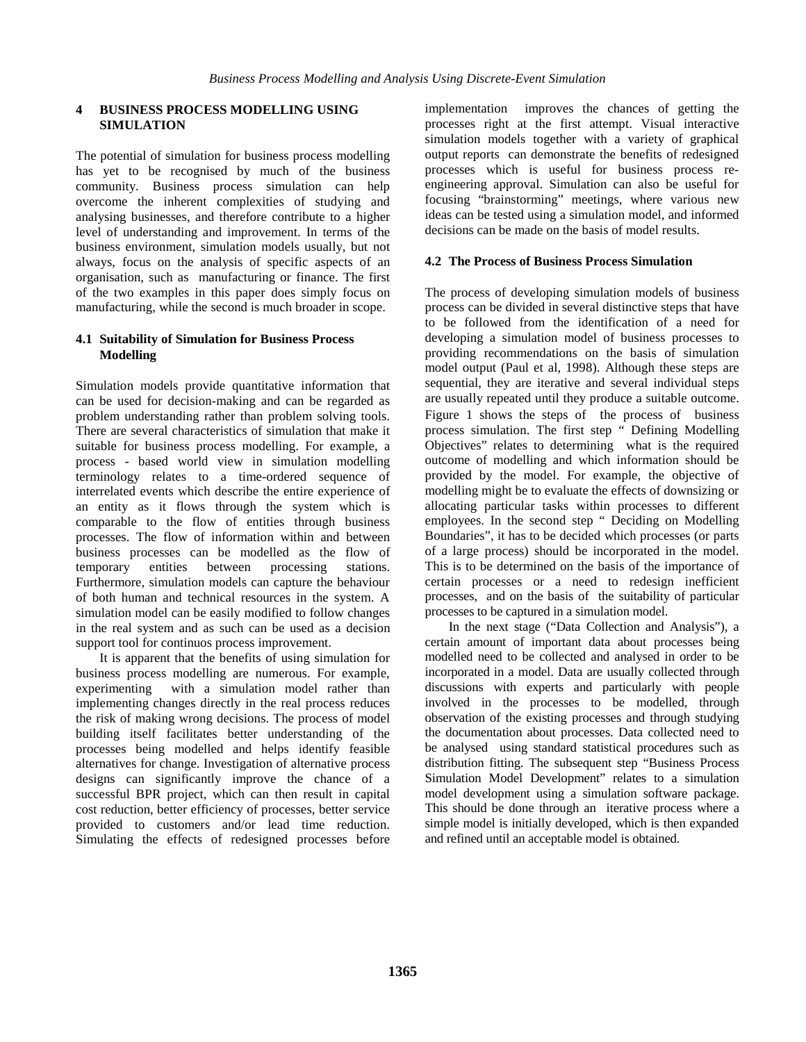#### **4 BUSINESS PROCESS MODELLING USING SIMULATION**

The potential of simulation for business process modelling has yet to be recognised by much of the business community. Business process simulation can help overcome the inherent complexities of studying and analysing businesses, and therefore contribute to a higher level of understanding and improvement. In terms of the business environment, simulation models usually, but not always, focus on the analysis of specific aspects of an organisation, such as manufacturing or finance. The first of the two examples in this paper does simply focus on manufacturing, while the second is much broader in scope.

### **4.1 Suitability of Simulation for Business Process Modelling**

Simulation models provide quantitative information that can be used for decision-making and can be regarded as problem understanding rather than problem solving tools. There are several characteristics of simulation that make it suitable for business process modelling. For example, a process - based world view in simulation modelling terminology relates to a time-ordered sequence of interrelated events which describe the entire experience of an entity as it flows through the system which is comparable to the flow of entities through business processes. The flow of information within and between business processes can be modelled as the flow of temporary entities between processing stations. Furthermore, simulation models can capture the behaviour of both human and technical resources in the system. A simulation model can be easily modified to follow changes in the real system and as such can be used as a decision support tool for continuos process improvement.

It is apparent that the benefits of using simulation for business process modelling are numerous. For example, experimenting with a simulation model rather than implementing changes directly in the real process reduces the risk of making wrong decisions. The process of model building itself facilitates better understanding of the processes being modelled and helps identify feasible alternatives for change. Investigation of alternative process designs can significantly improve the chance of a successful BPR project, which can then result in capital cost reduction, better efficiency of processes, better service provided to customers and/or lead time reduction. Simulating the effects of redesigned processes before implementation improves the chances of getting the processes right at the first attempt. Visual interactive simulation models together with a variety of graphical output reports can demonstrate the benefits of redesigned processes which is useful for business process reengineering approval. Simulation can also be useful for focusing "brainstorming" meetings, where various new ideas can be tested using a simulation model, and informed decisions can be made on the basis of model results.

# **4.2 The Process of Business Process Simulation**

The process of developing simulation models of business process can be divided in several distinctive steps that have to be followed from the identification of a need for developing a simulation model of business processes to providing recommendations on the basis of simulation model output (Paul et al, 1998). Although these steps are sequential, they are iterative and several individual steps are usually repeated until they produce a suitable outcome. Figure 1 shows the steps of the process of business process simulation. The first step " Defining Modelling Objectives" relates to determining what is the required outcome of modelling and which information should be provided by the model. For example, the objective of modelling might be to evaluate the effects of downsizing or allocating particular tasks within processes to different employees. In the second step " Deciding on Modelling Boundaries", it has to be decided which processes (or parts of a large process) should be incorporated in the model. This is to be determined on the basis of the importance of certain processes or a need to redesign inefficient processes, and on the basis of the suitability of particular processes to be captured in a simulation model.

In the next stage ("Data Collection and Analysis"), a certain amount of important data about processes being modelled need to be collected and analysed in order to be incorporated in a model. Data are usually collected through discussions with experts and particularly with people involved in the processes to be modelled, through observation of the existing processes and through studying the documentation about processes. Data collected need to be analysed using standard statistical procedures such as distribution fitting. The subsequent step "Business Process Simulation Model Development" relates to a simulation model development using a simulation software package. This should be done through an iterative process where a simple model is initially developed, which is then expanded and refined until an acceptable model is obtained.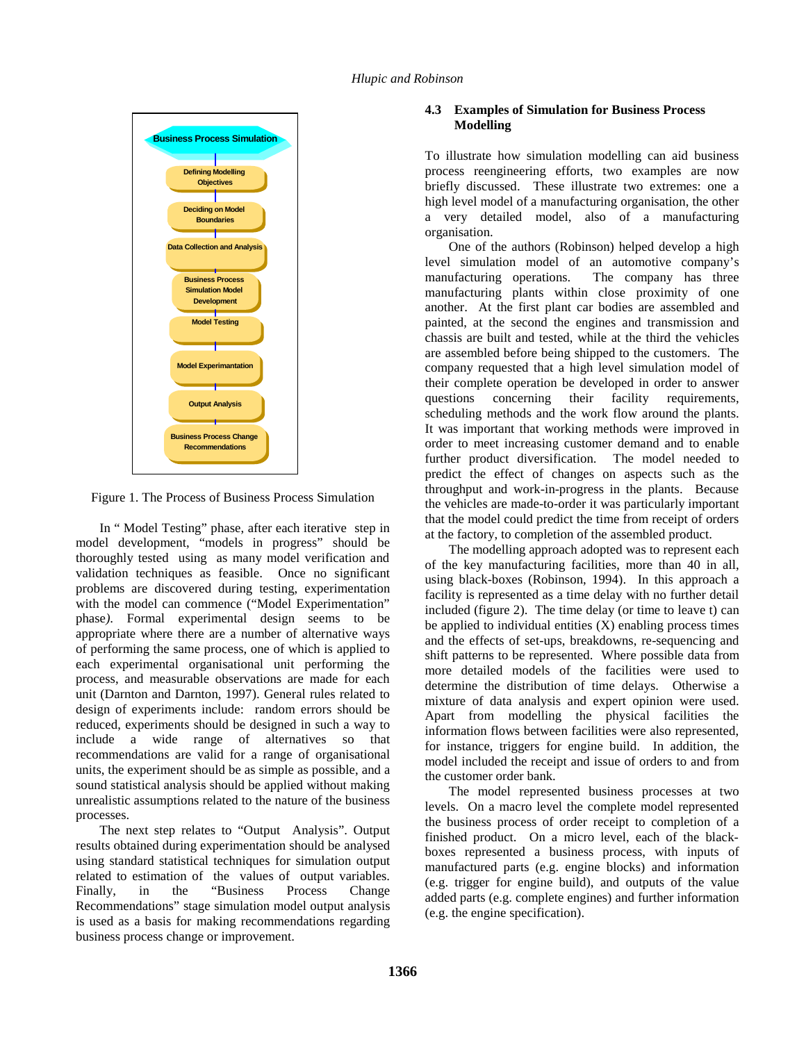

Figure 1. The Process of Business Process Simulation

In " Model Testing" phase, after each iterative step in model development, "models in progress" should be thoroughly tested using as many model verification and validation techniques as feasible. Once no significant problems are discovered during testing, experimentation with the model can commence ("Model Experimentation" phase*)*. Formal experimental design seems to be appropriate where there are a number of alternative ways of performing the same process, one of which is applied to each experimental organisational unit performing the process, and measurable observations are made for each unit (Darnton and Darnton, 1997). General rules related to design of experiments include: random errors should be reduced, experiments should be designed in such a way to include a wide range of alternatives so that recommendations are valid for a range of organisational units, the experiment should be as simple as possible, and a sound statistical analysis should be applied without making unrealistic assumptions related to the nature of the business processes.

The next step relates to "Output Analysis". Output results obtained during experimentation should be analysed using standard statistical techniques for simulation output related to estimation of the values of output variables. Finally, in the "Business Process Change Recommendations" stage simulation model output analysis is used as a basis for making recommendations regarding business process change or improvement.

# **4.3 Examples of Simulation for Business Process Modelling**

To illustrate how simulation modelling can aid business process reengineering efforts, two examples are now briefly discussed. These illustrate two extremes: one a high level model of a manufacturing organisation, the other a very detailed model, also of a manufacturing organisation.

One of the authors (Robinson) helped develop a high level simulation model of an automotive company's manufacturing operations. The company has three manufacturing plants within close proximity of one another. At the first plant car bodies are assembled and painted, at the second the engines and transmission and chassis are built and tested, while at the third the vehicles are assembled before being shipped to the customers. The company requested that a high level simulation model of their complete operation be developed in order to answer questions concerning their facility requirements, scheduling methods and the work flow around the plants. It was important that working methods were improved in order to meet increasing customer demand and to enable further product diversification. The model needed to predict the effect of changes on aspects such as the throughput and work-in-progress in the plants. Because the vehicles are made-to-order it was particularly important that the model could predict the time from receipt of orders at the factory, to completion of the assembled product.

The modelling approach adopted was to represent each of the key manufacturing facilities, more than 40 in all, using black-boxes (Robinson, 1994). In this approach a facility is represented as a time delay with no further detail included (figure 2). The time delay (or time to leave t) can be applied to individual entities  $(X)$  enabling process times and the effects of set-ups, breakdowns, re-sequencing and shift patterns to be represented. Where possible data from more detailed models of the facilities were used to determine the distribution of time delays. Otherwise a mixture of data analysis and expert opinion were used. Apart from modelling the physical facilities the information flows between facilities were also represented, for instance, triggers for engine build. In addition, the model included the receipt and issue of orders to and from the customer order bank.

The model represented business processes at two levels. On a macro level the complete model represented the business process of order receipt to completion of a finished product. On a micro level, each of the blackboxes represented a business process, with inputs of manufactured parts (e.g. engine blocks) and information (e.g. trigger for engine build), and outputs of the value added parts (e.g. complete engines) and further information (e.g. the engine specification).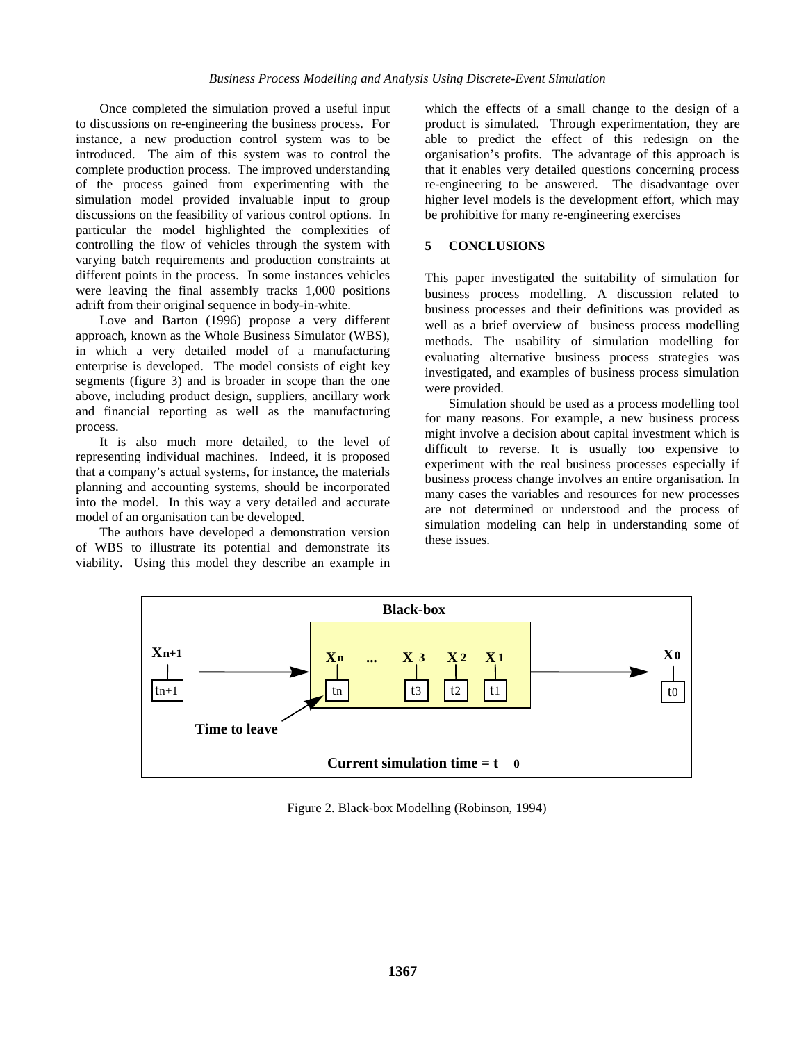Once completed the simulation proved a useful input to discussions on re-engineering the business process. For instance, a new production control system was to be introduced. The aim of this system was to control the complete production process. The improved understanding of the process gained from experimenting with the simulation model provided invaluable input to group discussions on the feasibility of various control options. In particular the model highlighted the complexities of controlling the flow of vehicles through the system with varying batch requirements and production constraints at different points in the process. In some instances vehicles were leaving the final assembly tracks 1,000 positions adrift from their original sequence in body-in-white.

Love and Barton (1996) propose a very different approach, known as the Whole Business Simulator (WBS), in which a very detailed model of a manufacturing enterprise is developed. The model consists of eight key segments (figure 3) and is broader in scope than the one above, including product design, suppliers, ancillary work and financial reporting as well as the manufacturing process.

It is also much more detailed, to the level of representing individual machines. Indeed, it is proposed that a company's actual systems, for instance, the materials planning and accounting systems, should be incorporated into the model. In this way a very detailed and accurate model of an organisation can be developed.

The authors have developed a demonstration version of WBS to illustrate its potential and demonstrate its viability. Using this model they describe an example in which the effects of a small change to the design of a product is simulated. Through experimentation, they are able to predict the effect of this redesign on the organisation's profits. The advantage of this approach is that it enables very detailed questions concerning process re-engineering to be answered. The disadvantage over higher level models is the development effort, which may be prohibitive for many re-engineering exercises

## **5 CONCLUSIONS**

This paper investigated the suitability of simulation for business process modelling. A discussion related to business processes and their definitions was provided as well as a brief overview of business process modelling methods. The usability of simulation modelling for evaluating alternative business process strategies was investigated, and examples of business process simulation were provided.

Simulation should be used as a process modelling tool for many reasons. For example, a new business process might involve a decision about capital investment which is difficult to reverse. It is usually too expensive to experiment with the real business processes especially if business process change involves an entire organisation. In many cases the variables and resources for new processes are not determined or understood and the process of simulation modeling can help in understanding some of these issues.



Figure 2. Black-box Modelling (Robinson, 1994)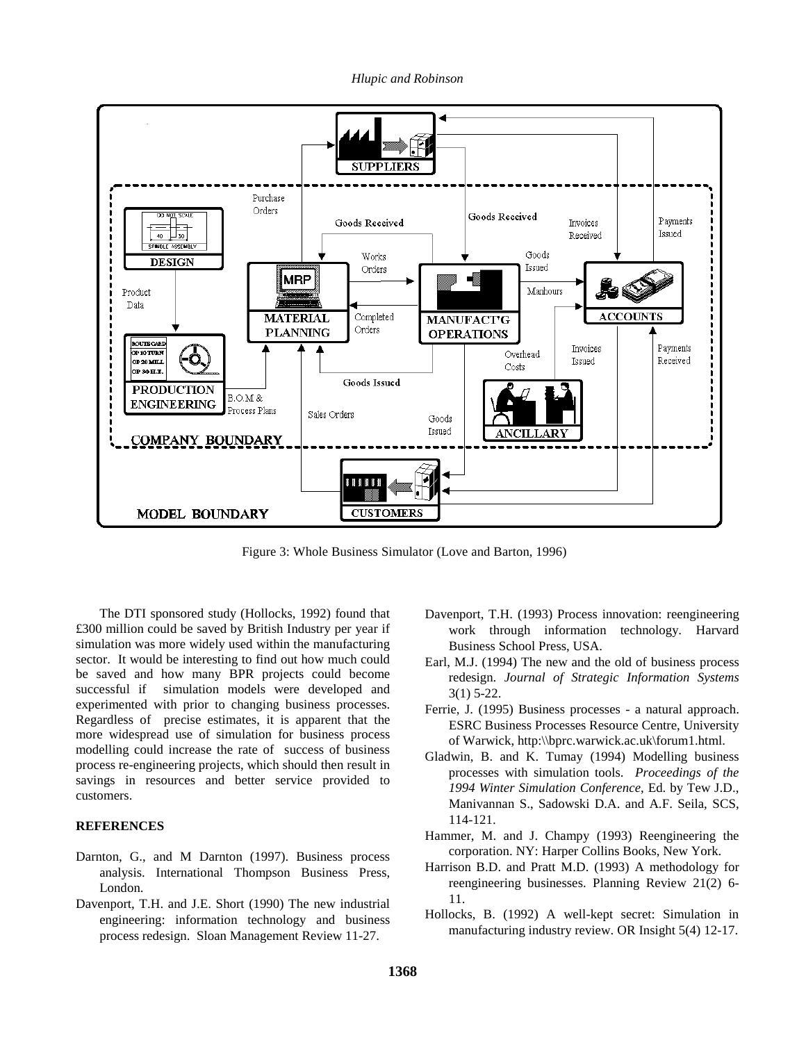*Hlupic and Robinson*



Figure 3: Whole Business Simulator (Love and Barton, 1996)

The DTI sponsored study (Hollocks, 1992) found that £300 million could be saved by British Industry per year if simulation was more widely used within the manufacturing sector. It would be interesting to find out how much could be saved and how many BPR projects could become successful if simulation models were developed and experimented with prior to changing business processes. Regardless of precise estimates, it is apparent that the more widespread use of simulation for business process modelling could increase the rate of success of business process re-engineering projects, which should then result in savings in resources and better service provided to customers.

#### **REFERENCES**

- Darnton, G., and M Darnton (1997). Business process analysis. International Thompson Business Press, London.
- Davenport, T.H. and J.E. Short (1990) The new industrial engineering: information technology and business process redesign. Sloan Management Review 11-27.
- Davenport, T.H. (1993) Process innovation: reengineering work through information technology*.* Harvard Business School Press, USA.
- Earl, M.J. (1994) The new and the old of business process redesign. *Journal of Strategic Information Systems* 3(1) 5-22.
- Ferrie, J. (1995) Business processes a natural approach. ESRC Business Processes Resource Centre, University of Warwick, http:\\bprc.warwick.ac.uk\forum1.html.
- Gladwin, B. and K. Tumay (1994) Modelling business processes with simulation tools. *Proceedings of the 1994 Winter Simulation Conference*, Ed. by Tew J.D., Manivannan S., Sadowski D.A. and A.F. Seila, SCS, 114-121.
- Hammer, M. and J. Champy (1993) Reengineering the corporation. NY: Harper Collins Books, New York.
- Harrison B.D. and Pratt M.D. (1993) A methodology for reengineering businesses. Planning Review 21(2) 6- 11.
- Hollocks, B. (1992) A well-kept secret: Simulation in manufacturing industry review. OR Insight 5(4) 12-17.